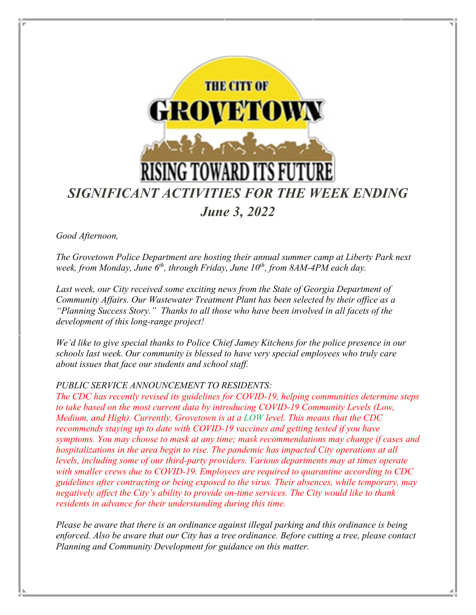

*Good Afternoon,* 

*The Grovetown Police Department are hosting their annual summer camp at Liberty Park next week, from Monday, June 6th, through Friday, June 10th, from 8AM-4PM each day.* 

*Last week, our City received some exciting news from the State of Georgia Department of Community Affairs. Our Wastewater Treatment Plant has been selected by their office as a "Planning Success Story." Thanks to all those who have been involved in all facets of the development of this long-range project!*

*We'd like to give special thanks to Police Chief Jamey Kitchens for the police presence in our schools last week. Our community is blessed to have very special employees who truly care about issues that face our students and school staff.*

#### *PUBLIC SERVICE ANNOUNCEMENT TO RESIDENTS:*

*The CDC has recently revised its guidelines for COVID-19, helping communities determine steps to take based on the most current data by introducing COVID-19 Community Levels (Low, Medium, and High). Currently, Grovetown is at a LOW level. This means that the CDC recommends staying up to date with COVID-19 vaccines and getting tested if you have symptoms. You may choose to mask at any time; mask recommendations may change if cases and hospitalizations in the area begin to rise. The pandemic has impacted City operations at all levels, including some of our third-party providers. Various departments may at times operate with smaller crews due to COVID-19. Employees are required to quarantine according to CDC guidelines after contracting or being exposed to the virus. Their absences, while temporary, may negatively affect the City's ability to provide on-time services. The City would like to thank residents in advance for their understanding during this time.*

*Please be aware that there is an ordinance against illegal parking and this ordinance is being enforced. Also be aware that our City has a tree ordinance. Before cutting a tree, please contact Planning and Community Development for guidance on this matter.*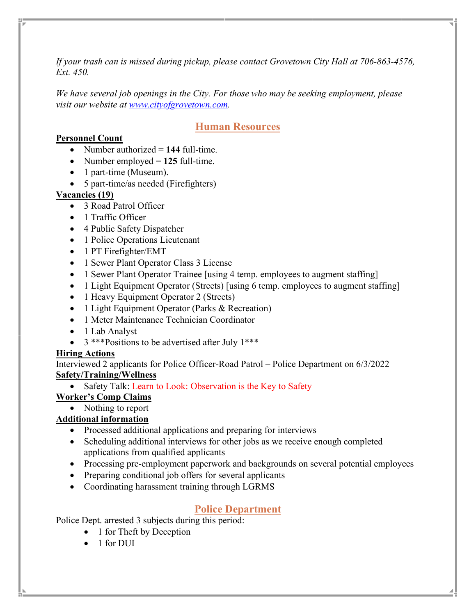*If your trash can is missed during pickup, please contact Grovetown City Hall at 706-863-4576, Ext. 450.* 

*We have several job openings in the City. For those who may be seeking employment, please visit our website at [www.cityofgrovetown.com.](http://www.cityofgrovetown.com/)* 

# **Human Resources**

#### **Personnel Count**

- Number authorized = 144 full-time.
- Number employed = 125 full-time.
- 1 part-time (Museum).
- 5 part-time/as needed (Firefighters)

#### **Vacancies (19)**

- 3 Road Patrol Officer
- 1 Traffic Officer
- 4 Public Safety Dispatcher
- 1 Police Operations Lieutenant
- 1 PT Firefighter/EMT
- 1 Sewer Plant Operator Class 3 License
- 1 Sewer Plant Operator Trainee [using 4 temp. employees to augment staffing]
- 1 Light Equipment Operator (Streets) [using 6 temp. employees to augment staffing]
- 1 Heavy Equipment Operator 2 (Streets)
- 1 Light Equipment Operator (Parks & Recreation)
- 1 Meter Maintenance Technician Coordinator
- 1 Lab Analyst
- 3 \*\*\* Positions to be advertised after July 1 \*\*\*

#### **Hiring Actions**

Interviewed 2 applicants for Police Officer-Road Patrol – Police Department on 6/3/2022 **Safety/Training/Wellness**

• Safety Talk: Learn to Look: Observation is the Key to Safety

#### **Worker's Comp Claims**

#### • Nothing to report

#### **Additional information**

- Processed additional applications and preparing for interviews
- Scheduling additional interviews for other jobs as we receive enough completed applications from qualified applicants
- Processing pre-employment paperwork and backgrounds on several potential employees
- Preparing conditional job offers for several applicants
- Coordinating harassment training through LGRMS

## **Police Department**

Police Dept. arrested 3 subjects during this period:

- 1 for Theft by Deception
- 1 for DUI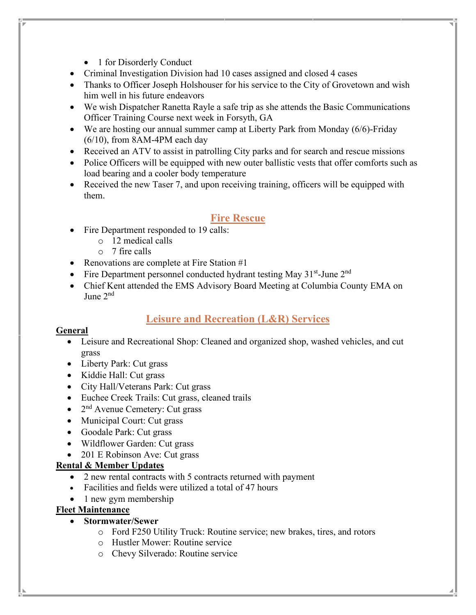- 1 for Disorderly Conduct
- Criminal Investigation Division had 10 cases assigned and closed 4 cases
- Thanks to Officer Joseph Holshouser for his service to the City of Grovetown and wish him well in his future endeavors
- We wish Dispatcher Ranetta Rayle a safe trip as she attends the Basic Communications Officer Training Course next week in Forsyth, GA
- We are hosting our annual summer camp at Liberty Park from Monday (6/6)-Friday (6/10), from 8AM-4PM each day
- Received an ATV to assist in patrolling City parks and for search and rescue missions
- Police Officers will be equipped with new outer ballistic vests that offer comforts such as load bearing and a cooler body temperature
- Received the new Taser 7, and upon receiving training, officers will be equipped with them.

## **Fire Rescue**

- Fire Department responded to 19 calls:
	- o 12 medical calls
	- $\circ$  7 fire calls
- Renovations are complete at Fire Station #1
- Fire Department personnel conducted hydrant testing May  $31<sup>st</sup>$ -June  $2<sup>nd</sup>$
- Chief Kent attended the EMS Advisory Board Meeting at Columbia County EMA on June 2nd

## **Leisure and Recreation (L&R) Services**

#### **General**

- Leisure and Recreational Shop: Cleaned and organized shop, washed vehicles, and cut grass
- Liberty Park: Cut grass
- Kiddie Hall: Cut grass
- City Hall/Veterans Park: Cut grass
- Euchee Creek Trails: Cut grass, cleaned trails
- $2<sup>nd</sup>$  Avenue Cemetery: Cut grass
- Municipal Court: Cut grass
- Goodale Park: Cut grass
- Wildflower Garden: Cut grass
- 201 E Robinson Ave: Cut grass

#### **Rental & Member Updates**

- 2 new rental contracts with 5 contracts returned with payment
- Facilities and fields were utilized a total of 47 hours
- 1 new gym membership

#### **Fleet Maintenance**

- **Stormwater/Sewer**
	- o Ford F250 Utility Truck: Routine service; new brakes, tires, and rotors
	- o Hustler Mower: Routine service
	- o Chevy Silverado: Routine service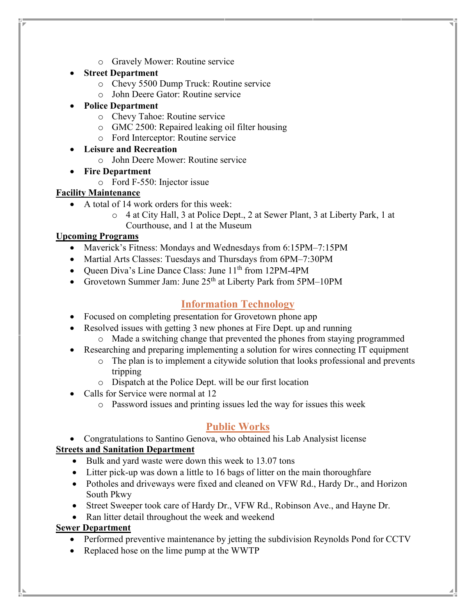- o Gravely Mower: Routine service
- **Street Department**
	- o Chevy 5500 Dump Truck: Routine service
	- o John Deere Gator: Routine service
- **Police Department**
	- o Chevy Tahoe: Routine service
	- o GMC 2500: Repaired leaking oil filter housing
	- o Ford Interceptor: Routine service
- **Leisure and Recreation**
	- o John Deere Mower: Routine service
- **Fire Department**
	- o Ford F-550: Injector issue

#### **Facility Maintenance**

- A total of 14 work orders for this week:
	- o 4 at City Hall, 3 at Police Dept., 2 at Sewer Plant, 3 at Liberty Park, 1 at Courthouse, and 1 at the Museum

#### **Upcoming Programs**

- Maverick's Fitness: Mondays and Wednesdays from 6:15PM–7:15PM
- Martial Arts Classes: Tuesdays and Thursdays from 6PM–7:30PM
- Queen Diva's Line Dance Class: June  $11<sup>th</sup>$  from 12PM-4PM
- Grovetown Summer Jam: June 25<sup>th</sup> at Liberty Park from 5PM–10PM

# **Information Technology**

- Focused on completing presentation for Grovetown phone app
- Resolved issues with getting 3 new phones at Fire Dept. up and running
	- o Made a switching change that prevented the phones from staying programmed
- Researching and preparing implementing a solution for wires connecting IT equipment
	- o The plan is to implement a citywide solution that looks professional and prevents tripping
	- o Dispatch at the Police Dept. will be our first location
- Calls for Service were normal at 12
	- o Password issues and printing issues led the way for issues this week

## **Public Works**

• Congratulations to Santino Genova, who obtained his Lab Analysist license

#### **Streets and Sanitation Department**

- Bulk and yard waste were down this week to 13.07 tons
- Litter pick-up was down a little to 16 bags of litter on the main thoroughfare
- Potholes and driveways were fixed and cleaned on VFW Rd., Hardy Dr., and Horizon South Pkwy
- Street Sweeper took care of Hardy Dr., VFW Rd., Robinson Ave., and Hayne Dr.
- Ran litter detail throughout the week and weekend

#### **Sewer Department**

- Performed preventive maintenance by jetting the subdivision Reynolds Pond for CCTV
- Replaced hose on the lime pump at the WWTP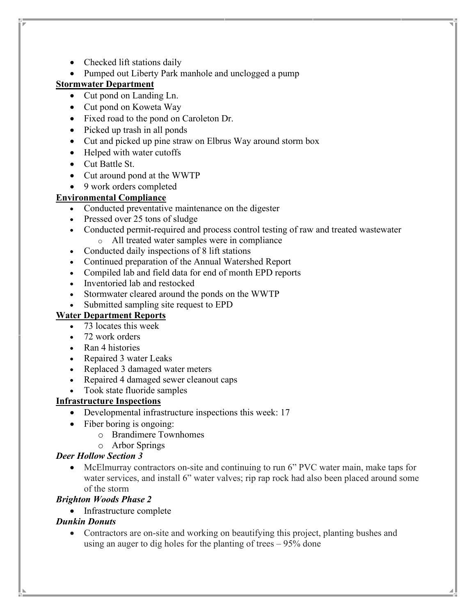- Checked lift stations daily
- Pumped out Liberty Park manhole and unclogged a pump

#### **Stormwater Department**

- Cut pond on Landing Ln.
- Cut pond on Koweta Way
- Fixed road to the pond on Caroleton Dr.
- Picked up trash in all ponds
- Cut and picked up pine straw on Elbrus Way around storm box
- Helped with water cutoffs
- Cut Battle St.
- Cut around pond at the WWTP
- 9 work orders completed

#### **Environmental Compliance**

- Conducted preventative maintenance on the digester
- Pressed over 25 tons of sludge
- Conducted permit-required and process control testing of raw and treated wastewater o All treated water samples were in compliance
- Conducted daily inspections of 8 lift stations
- Continued preparation of the Annual Watershed Report
- Compiled lab and field data for end of month EPD reports
- Inventoried lab and restocked
- Stormwater cleared around the ponds on the WWTP
- Submitted sampling site request to EPD

#### **Water Department Reports**

- 73 locates this week
- 72 work orders
- Ran 4 histories
- Repaired 3 water Leaks
- Replaced 3 damaged water meters
- Repaired 4 damaged sewer cleanout caps
- Took state fluoride samples

#### **Infrastructure Inspections**

- Developmental infrastructure inspections this week: 17
- Fiber boring is ongoing:
	- o Brandimere Townhomes
	- o Arbor Springs

#### *Deer Hollow Section 3*

• McElmurray contractors on-site and continuing to run 6" PVC water main, make taps for water services, and install 6" water valves; rip rap rock had also been placed around some of the storm

#### *Brighton Woods Phase 2*

• Infrastructure complete

#### *Dunkin Donuts*

• Contractors are on-site and working on beautifying this project, planting bushes and using an auger to dig holes for the planting of trees – 95% done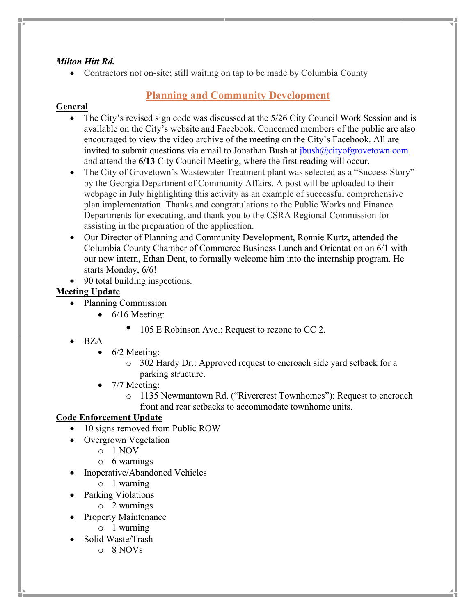#### *Milton Hitt Rd.*

• Contractors not on-site; still waiting on tap to be made by Columbia County

## **Planning and Community Development**

#### **General**

- The City's revised sign code was discussed at the 5/26 City Council Work Session and is available on the City's website and Facebook. Concerned members of the public are also encouraged to view the video archive of the meeting on the City's Facebook. All are invited to submit questions via email to Jonathan Bush at  $ibush@cityofgrovetown.com$ and attend the **6/13** City Council Meeting, where the first reading will occur.
- The City of Grovetown's Wastewater Treatment plant was selected as a "Success Story" by the Georgia Department of Community Affairs. A post will be uploaded to their webpage in July highlighting this activity as an example of successful comprehensive plan implementation. Thanks and congratulations to the Public Works and Finance Departments for executing, and thank you to the CSRA Regional Commission for assisting in the preparation of the application.
- Our Director of Planning and Community Development, Ronnie Kurtz, attended the Columbia County Chamber of Commerce Business Lunch and Orientation on 6/1 with our new intern, Ethan Dent, to formally welcome him into the internship program. He starts Monday, 6/6!
- 90 total building inspections.

#### **Meeting Update**

- Planning Commission
	- 6/16 Meeting:
		- 105 E Robinson Ave.: Request to rezone to CC 2.
- BZA
	- $\bullet$  6/2 Meeting:
		- o 302 Hardy Dr.: Approved request to encroach side yard setback for a parking structure.
	- 7/7 Meeting:
		- o 1135 Newmantown Rd. ("Rivercrest Townhomes"): Request to encroach front and rear setbacks to accommodate townhome units.

#### **Code Enforcement Update**

- 10 signs removed from Public ROW
- Overgrown Vegetation
	- o 1 NOV
	- o 6 warnings
- Inoperative/Abandoned Vehicles
	- o 1 warning
- Parking Violations
	- o 2 warnings
- Property Maintenance
	- o 1 warning
- Solid Waste/Trash
	- o 8 NOVs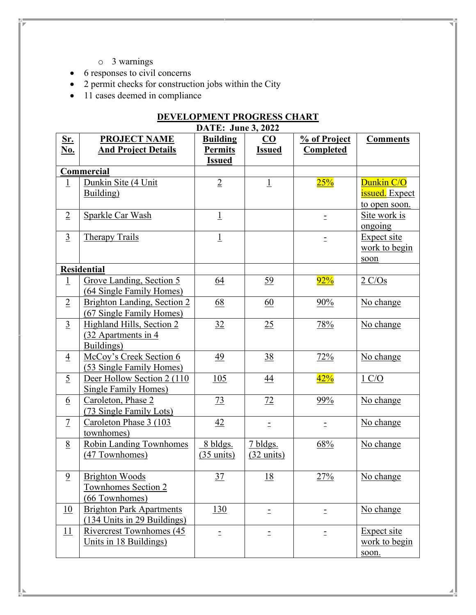o 3 warnings

6 Caroleton, Phase 2

7 Caroleton Phase 3 (103 townhomes)

(47 Townhomes)

9 Brighton Woods

(73 Single Family Lots)

8 Robin Landing Townhomes

Townhomes Section 2 (66 Townhomes)

10 Brighton Park Apartments

11 Rivercrest Townhomes (45 Units in 18 Buildings)

(134 Units in 29 Buildings)

- 6 responses to civil concerns
- 2 permit checks for construction jobs within the City
- 11 cases deemed in compliance

| DEVELOPMENT PROGRESS CHART<br><b>DATE: June 3, 2022</b> |                                                                 |                |                |     |                                               |  |  |
|---------------------------------------------------------|-----------------------------------------------------------------|----------------|----------------|-----|-----------------------------------------------|--|--|
|                                                         |                                                                 |                |                |     |                                               |  |  |
| <b>Commercial</b>                                       |                                                                 |                |                |     |                                               |  |  |
| $\overline{1}$                                          | Dunkin Site (4 Unit<br>Building)                                | $\overline{2}$ | $\overline{1}$ | 25% | Dunkin C/O<br>issued. Expect<br>to open soon. |  |  |
| $\overline{2}$                                          | Sparkle Car Wash                                                | $\overline{1}$ |                |     | <u>Site work is</u><br>ongoing                |  |  |
| $\overline{3}$                                          | <b>Therapy Trails</b>                                           | $\overline{1}$ |                |     | Expect site<br>work to begin<br>soon          |  |  |
| <b>Residential</b>                                      |                                                                 |                |                |     |                                               |  |  |
| $\perp$                                                 | Grove Landing, Section 5<br><b>64 Single Family Homes)</b>      | 64             | <u>59</u>      | 92% | 2 C/Os                                        |  |  |
| $\overline{2}$                                          | Brighton Landing, Section 2<br>(67 Single Family Homes)         | 68             | 60             | 90% | No change                                     |  |  |
| $\overline{3}$                                          | Highland Hills, Section 2<br>(32 Apartments in 4)<br>Buildings) | 32             | 25             | 78% | No change                                     |  |  |
| $\overline{4}$                                          | McCoy's Creek Section 6<br>(53 Single Family Homes)             | <u>49</u>      | <u>38</u>      | 72% | No change                                     |  |  |
| $\overline{2}$                                          | Deer Hollow Section 2 (110)<br>Single Family Homes)             | 105            | $\frac{44}{1}$ | 42% | $1 \text{ C/O}$                               |  |  |

 8 bldgs.  $(35 \text{ units})$  7 bldgs. (32 units)

73 | 72 | 99% | No change

 $\frac{42}{ }$   $\qquad$   $\qquad$   $\qquad$   $\qquad$   $\qquad$   $\qquad$   $\qquad$   $\qquad$   $\qquad$   $\qquad$   $\qquad$   $\qquad$   $\qquad$   $\qquad$   $\qquad$   $\qquad$   $\qquad$   $\qquad$   $\qquad$   $\qquad$   $\qquad$   $\qquad$   $\qquad$   $\qquad$   $\qquad$   $\qquad$   $\qquad$   $\qquad$   $\qquad$   $\qquad$   $\qquad$   $\qquad$   $\qquad$   $\qquad$   $\qquad$ 

37 18 27% No change

 $\begin{array}{c|c|c|c|c|c} \hline 130 & & \\\hline \end{array}$   $\begin{array}{c|c|c|c} \hline \end{array}$   $\begin{array}{c|c|c} \hline \end{array}$  No change

 $\vdots$   $\vdots$   $\vdots$   $\vdots$   $\vdots$   $\vdots$   $\vdots$   $\vdots$   $\vdots$   $\vdots$ 

68% No change

work to begin

soon.